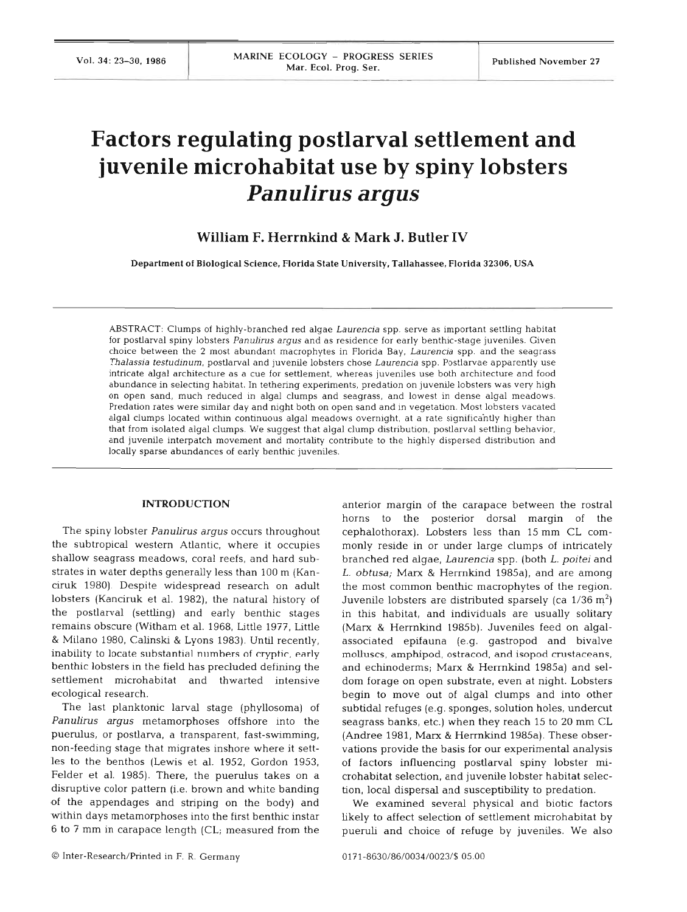# **Factors regulating postlarval settlement and juvenile microhabitat use by spiny lobsters**  *Panulirus argus*

# **William F. Herrnkind** & **Mark J. Butler IV**

Department **of** Biological Science, Florida State University, Tallahassee, Florida **32306,** USA

ABSTRACT: Clumps of highly-branched red algae Laurencia spp. serve as important settling habitat for postlarval spiny lobsters Panulirus argus and as residence for early benthic-stage juveniles. Given choice between the 2 most abundant macrophytes in Florida Bay, Laurencia spp. and the seagrass Thalassia testudinum, postlarval and juvenile lobsters chose Laurencia spp. Postlarvae apparently use intricate algal architecture as a cue for settlement, whereas juveniles use both architecture and food abundance in selecting habitat. In tethering experiments, predation on juvenile lobsters was very high on open sand, much reduced in algal clumps and seagrass, and lowest in dense algal meadows. Predation rates were similar day and night both on open sand and in vegetation. Most lobsters vacated algal clumps located within continuous algal meadows overnight, at a rate significahtly higher than that from isolated algal clumps. We suggest that algal clump distribution, postlarval settling behavior, and juvenile interpatch movement and mortality contribute to the highly dispersed distribution and locally sparse abundances of early benthic juveniles.

#### **INTRODUCTION**

The spiny lobster Panulirus argus occurs throughout the subtropical western Atlantic, where it occupies shallow seagrass meadows, coral reefs, and hard substrates in water depths generally less than 100 m (Kanciruk 1980). Despite widespread research on adult lobsters (Kanciruk et al. 1982), the natural history of the postlarval (settling) and early benthic stages remains obscure (Witham et al. 1968, Little 1977, Little & Milano 1980, Calinski & Lyons 1983). Until recently, inability to locate substantial numbers of cryptic, early benthic lobsters in the field has precluded defining the settlement microhabitat and thwarted intensive ecological research.

The last planktonic larval stage (phyllosoma) of Panulirus argus metamorphoses offshore into the puerulus, or postlarva, a transparent, fast-swimming, non-feeding stage that migrates inshore where it settles to the benthos (Lewis et al. 1952, Gordon 1953, Felder et al. 1985). There, the puerulus takes on a disruptive color pattern (i.e. brown and white banding of the appendages and striping on the body) and within days metamorphoses into the first benthic instar 6 to 7 mm in carapace length (CL; measured from the anterior margin of the carapace between the rostra1 horns to the posterior dorsal margin of the cephalothorax). Lobsters less than 15 mm CL commonly reside in or under large clumps of intricately branched red algae, Laurencia spp. (both L. poitei and L. obtusa; Marx & Herrnkind 1985a), and are among the most common benthic macrophytes of the region. Juvenile lobsters are distributed sparsely (ca  $1/36$  m<sup>2</sup>) in this habitat, and individuals are usually solitary (Marx & Herrnkind 1985b). Juveniles feed on algalassociated epifauna (e.g. gastropod and bivalve molluscs, amphipod, ostracod, and isopod crustaceans, and echinoderms; Marx & Hermkind 1985a) and seldom forage on open substrate, even at night. Lobsters begin to move out of algal clumps and into other subtidal refuges (e.g. sponges, solution holes, undercut seagrass banks, etc.) when they reach 15 to 20 mm CL (Andree 1981, Marx & Herrnkind 1985a). These observations provide the basis for our experimental analysis of factors influencing postlarval spiny lobster microhabitat selection, and juvemle lobster habitat selection, local dispersal and susceptibility to predation.

We examined several physical and biotic factors likely to affect selection of settlement microhabitat by pueruli and choice of refuge by juveniles. We also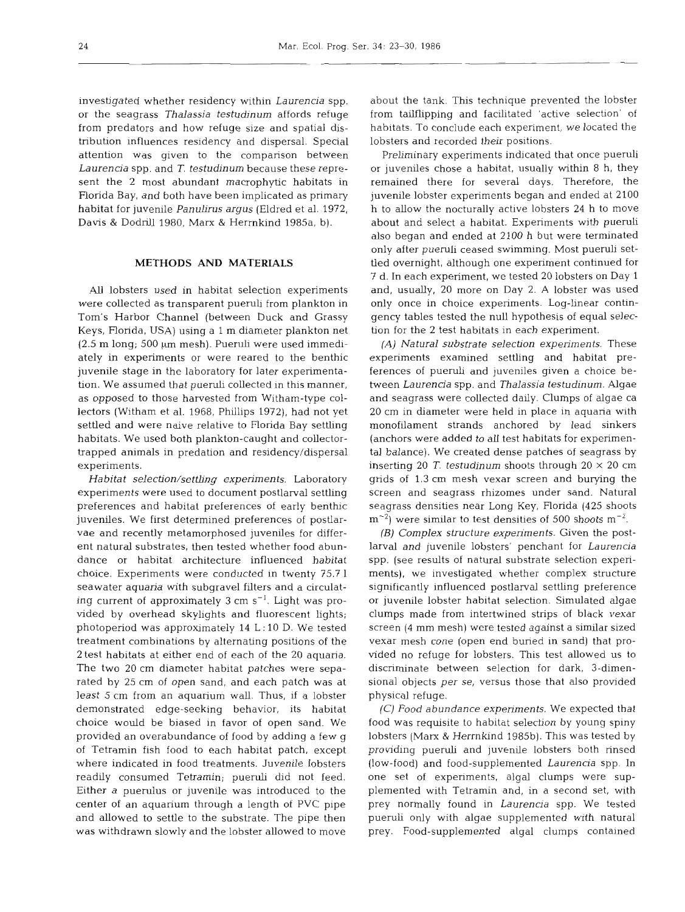investigated whether residency within *Laurencia* spp. or the seagrass *Thalassia testudinum* affords refuge from predators and how refuge size and spatial distribution influences residency and dispersal. Special attention was given to the comparison between *Laurencia* spp. and *T, testudinum* because these represent the 2 most abundant macrophytic habitats in Florida Bay, and both have been implicated as primary habitat for juvenile *Panulirus argus* (Eldred et al. 1972, Davis & Dodnll 1980, Marx & Herrnkind 1985a, b).

## METHODS AND MATERIALS

AU lobsters used in habitat selection experiments were collected as transparent pueruli from plankton in Tom's Harbor Channel (between Duck and Grassy Keys, Florida, USA) using a 1 m diameter plankton net  $(2.5 \text{ m long}, 500 \mu \text{m mesh})$ . Pueruli were used immediately in experiments or were reared to the benthic juvenile stage in the laboratory for later experimentation. We assumed that pueruli collected in this manner, as opposed to those harvested from Witham-type collectors (Witham et al. 1968, Phillips 1972), had not yet settled and were naive relative to Florida Bay settling habitats. We used both plankton-caught and collectortrapped animals in predation and residency/dispersal experiments.

*Habitat selection/settling experiments.* Laboratory experiments were used to document postlarval settling preferences and habitat preferences of early benthic juveniles. We first determined preferences of postlarvae and recently metamorphosed juveniles for different natural substrates, then tested whether food abundance or habitat architecture influenced habitat choice. Experiments were conducted in twenty 75.7 1 seawater aquaria with subgravel filters and a circulating current of approximately 3 cm s<sup>-1</sup>. Light was provided by overhead skylights and fluorescent lights; photoperiod was approximately 14 L: 10 D. We tested treatment combinations by alternating positions of the 2 test habitats at either end of each of the 20 aquaria. The two 20 cm diameter habitat patches were separated by 25 cm of open sand, and each patch was at least 5 cm from an aquarium wall. Thus, if a lobster demonstrated edge-seeking behavior, its habitat choice would be biased in favor of open sand. We provided an overabundance of food by adding a few g of Tetramin fish food to each habitat patch, except where indicated in food treatments. Juvenile lobsters readily consumed Tetramin; pueruli did not feed. Either a puerulus or juvenile was introduced to the center of an aquarium through a length of PVC pipe and allowed to settle to the substrate. The pipe then was withdrawn slowly and the lobster allowed to move

about the tank. This technique prevented the lobster from tailflipping and facilitated 'active selection' of habitats. To conclude each experiment, we located the lobsters and recorded their positions.

Preliminary experiments indicated that once pueruli or juveniles chose a habitat, usually within 8 h, they remained there for several days. Therefore, the juvenile lobster experiments began and ended at 2100 h to allow the nocturally active lobsters 24 h to move about and select a habitat. Experiments with pueruli also began and ended at 2100 h but were terminated only after pueruli ceased swimming. Most pueruli settled overnight, although one experiment continued for 7 d. In each experiment, we tested 20 lobsters on Day 1 and, usually, 20 more on Day 2. A lobster was used only once in choice experiments. Log-linear contingency tables tested the null hypothesis of equal selection for the 2 test habitats in each experiment.

(A) *Natural substrate selection experiments.* These experiments examined settling and habitat preferences of pueruli and juveniles given a choice between *Laurencia* spp. and *Thalassia testudinum.* Algae and seagrass were collected daily. Clumps of algae ca 20 cm in diameter were held in place in aquaria with monofilament strands anchored by lead sinkers (anchors were added to *all* test habitats for experimental balance). We created dense patches of seagrass by inserting 20 T. *testudinum* shoots through  $20 \times 20$  cm grids of 1.3 cm mesh vexar screen and burying the screen and seagrass rhizomes under sand. Natural seagrass densities near Long Key, Florida (425 shoots  $\text{m}^{-2}$ ) were similar to test densities of 500 shoots  $\text{m}^{-2}$ .

(B) *Complex structure experiments.* Given the postlarval and juvenile lobsters' penchant for *Laurencia*  spp. (see results of natural substrate selection experiments), we investigated whether complex structure significantly influenced postlarval settling preference or juvenile lobster habitat selection. Simulated algae clumps made from intertwined strips of black vexar screen (4 mm mesh) were tested against a similar sized vexar mesh cone (open end buried in sand) that provided no refuge for lobsters. This test allowed us to discriminate between selection for dark, 3-dimensional objects *per se,* versus those that also provided physical refuge.

*(C) Food abundance experiments.* We expected that food was requisite to habitat selection by young spiny lobsters (Marx & Herrnkind 1985b). This was tested by providing pueruli and juvenile lobsters both rinsed (low-food) and food-supplemented *Laurencia* spp. In one set of experiments, algal clumps were supplemented with Tetramin and, in a second set, with prey normally found in *Laurencia* spp. We tested pueruli only with algae supplemented with natural prey. Food-supplemented algal clumps contained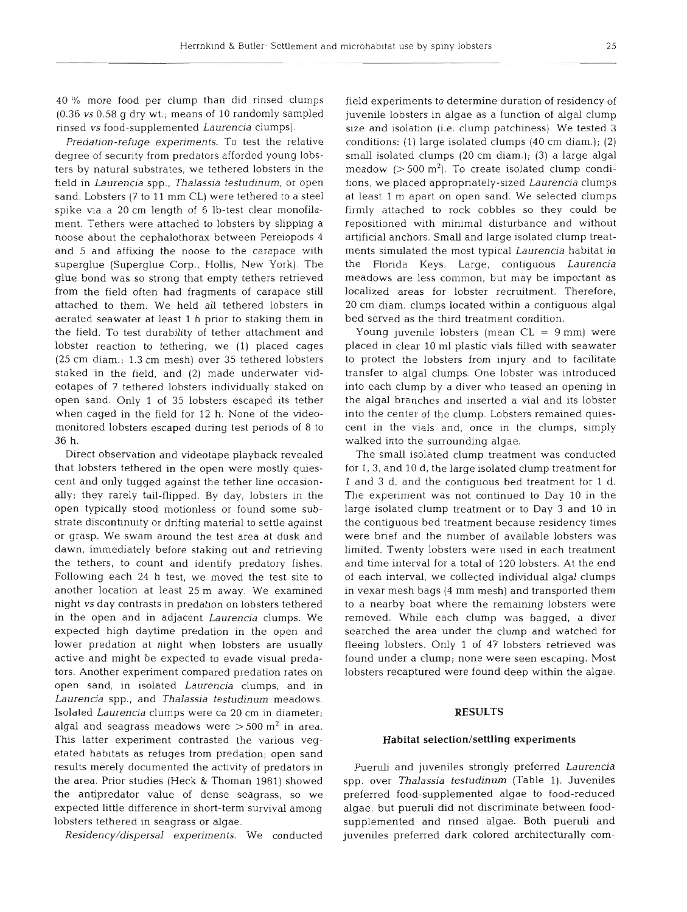40 % more food per clump than did rinsed clumps (0.36 *vs* 0.58 g dry wt.; means of 10 randomly sampled rinsed *vs* food-supplemented *Laurencia* clumps).

*Predation-refuge experiments.* To test the relative degree of security from predators afforded young lobsters by natural substrates, we tethered lobsters in the field in *Laurencia* spp., *Thalassia testudinum,* or open sand. Lobsters (7 to 11 mm CL) were tethered to a steel spike via a 20 cm length of 6 lb-test clear monofilament. Tethers were attached to lobsters by slipping a noose about the cephalothorax between Pereiopods 4 and 5 and affixing the noose to the carapace with superglue (Superglue Corp., Hollis, New York). The glue bond was so strong that empty tethers retrieved from the field often had fragments of carapace still attached to them. We held all tethered lobsters in aerated seawater at least 1 h prior to staking them in the field. To test durability of tether attachment and lobster reaction to tethering, we (1) placed cages (25 cm diam.; 1.3 cm mesh) over 35 tethered lobsters staked in the field, and (2) made underwater videotapes of 7 tethered lobsters individually staked on open sand. Only 1 of 35 lobsters escaped its tether when caged in the field for 12 h. None of the videomonitored lobsters escaped during test periods of 8 to 36 h.

Direct observation and videotape playback revealed that lobsters tethered in the open were mostly quiescent and only tugged against the tether line occasionally; they rarely tail-flipped. By day, lobsters in the open typically stood motionless or found some substrate discontinuity or drifting material to settle against or grasp. We swam around the test area at dusk and dawn, immediately before staking out and retrieving the tethers, to count and identify predatory fishes. Following each 24 h test, we moved the test site to another location at least 25 m away. We examined night *vs* day contrasts in predation on lobsters tethered in the open and in adjacent *Laurencia* clumps. We expected high daytime predation in the open and lower predation at night when lobsters are usually active and might be expected to evade visual predators. Another experiment compared predation rates on open sand, in isolated *Laurencia* clumps, and in *Laurencia* spp., and *Thalassia testudinum* meadows. Isolated *Laurencia* clumps were ca 20 cm in diameter; algal and seagrass meadows were  $>$  500 m<sup>2</sup> in area. This latter experiment contrasted the various vegetated habitats as refuges from predation; open sand results merely documented the activity of predators in the area. Prior studies (Heck & Thoman 1981) showed the antipredator value of dense seagrass, so we expected little difference in short-term survival among lobsters tethered in seagrass or algae.

*Residency/dispersal experiments.* We conducted

field experiments to determine duration of residency of juvenile lobsters in algae as a function of algal clump size and isolation (i.e. clump patchiness). We tested 3 conditions: (1) large isolated clumps (40 cm diam.); (2) small isolated clumps (20 cm diam.); (3) a large algal meadow  $(> 500 \text{ m}^2)$ . To create isolated clump conditions, we placed appropriately-sized *Laurencia* clumps at least l m apart on open sand. We selected clumps firmly attached to rock cobbles so they could be repositioned with minimal disturbance and without artificial anchors. Small and large isolated clump treatments simulated the most typical *Laurencia* habitat in the Florida Keys. Large, contiguous *Laurencia*  meadows are less common, but may be important as localized areas for lobster recruitment. Therefore, 20 cm diam. clumps located within a contiguous algal bed served as the third treatment condition.

Young juvenile lobsters (mean  $CL = 9$  mm) were placed in clear 10 m1 plastic vials filled with seawater to protect the lobsters from injury and to facilitate transfer to algal clumps. One lobster was introduced into each clump by a diver who teased an opening in the algal branches and inserted a vial and its lobster into the center of the clump. Lobsters remained quiescent in the vials and, once in the clumps, simply walked into the surrounding algae.

The small isolated clump treatment was conducted for 1, 3, and 10 d, the large isolated clump treatment for 1 and 3 d, and the contiguous bed treatment for 1 d. The experiment was not continued to Day 10 in the large isolated clump treatment or to Day 3 and 10 in the contiguous bed treatment because residency times were brief and the number of available lobsters was limited. Twenty lobsters were used in each treatment and time interval for a total of 120 lobsters. At the end of each interval, we collected individual algal clumps in vexar mesh bags (4 mm mesh) and transported them to a nearby boat where the remaining lobsters were removed. While each clump was bagged, a diver searched the area under the clump and watched for fleeing lobsters. Only 1 of 47 lobsters retrieved was found under a clump; none were seen escaping. Most lobsters recaptured were found deep within the algae.

#### **RESULTS**

### **Habitat selection/settling experiments**

Pueruli and juveniles strongly preferred *Laurencia*  spp. over *Thalassia testudinum* (Table 1). Juveniles preferred food-supplemented algae to food-reduced algae, but pueruli did not discriminate between foodsupplemented and rinsed algae. Both pueruli and juveniles preferred dark colored architecturally com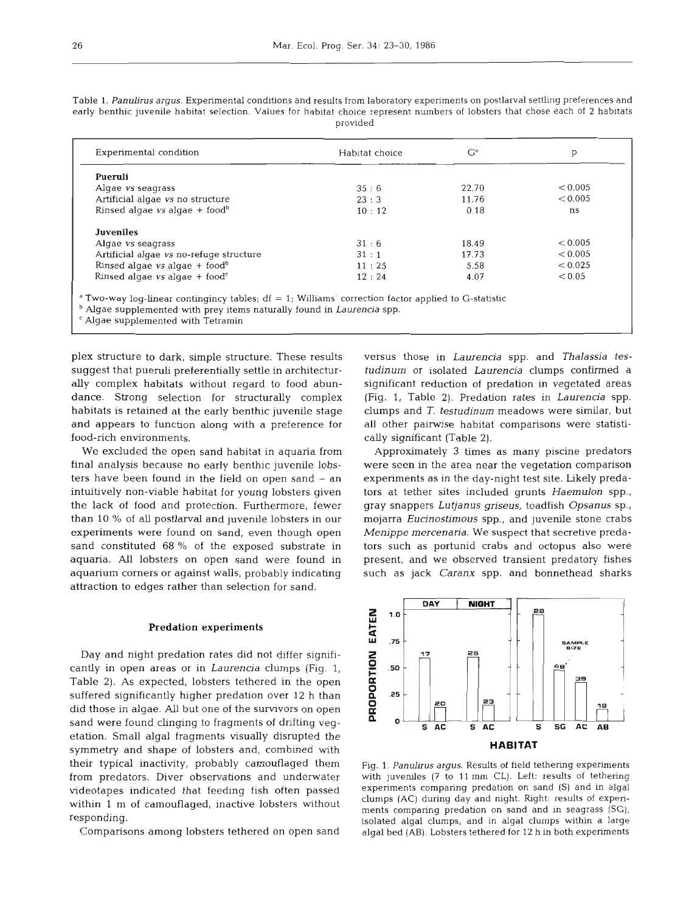Table 1. Panulirus argus. Experimental conditions and results from laboratory experiments on postlarval settling preferences and early benthic juvenile habitat selection. Values for habitat choice represent numbers of lobsters that chose each of 2 habitats provided

| Experimental condition                                   | Habitat choice | $G^d$ | р       |
|----------------------------------------------------------|----------------|-------|---------|
| Pueruli                                                  |                |       |         |
| Algae vs seagrass                                        | 35:6           | 22.70 | < 0.005 |
| Artificial algae vs no structure                         | 23:3           | 11.76 | < 0.005 |
| Rinsed algae $vs$ algae + food <sup>b</sup>              | 10:12          | 0.18  | ns      |
| <b>Juveniles</b>                                         |                |       |         |
| Algae vs seagrass                                        | 31:6           | 18.49 | < 0.005 |
| Artificial algae vs no-refuge structure                  | 31:1           | 17.73 | < 0.005 |
| Rinsed algae $vs$ algae + food <sup>b</sup>              | 11:25          | 5.58  | < 0.025 |
| Rinsed algae $vs$ algae + food <sup><math>c</math></sup> | 12:24          | 4.07  | < 0.05  |

<sup>c</sup> Algae supplemented with Tetramin

plex structure to dark, simple structure. These results suggest that pueruli preferentially settle in architecturally complex habitats without regard to food abundance. Strong selection for structurally complex habitats is retained at the early benthic juvenile stage and appears to function along with a preference for food-rich environments.

We excluded the open sand habitat in aquaria from final analysis because no early benthic juvenile lobsters have been found in the field on open sand  $-$  an intuitively non-viable habitat for young lobsters given the lack of food and protection. Furthermore, fewer than 10 % of all postlarval and juvenile lobsters in our experiments were found on sand, even though open sand constituted 68 % of the exposed substrate in aquaria. All lobsters on open sand were found in aquarium corners or against walls, probably indicating attraction to edges rather than selection for sand.

#### Predation experiments

Day and night predation rates did not differ significantly in open areas or in *Laurencia* clumps (Fig. 1, Table 2). As expected, lobsters tethered in the open suffered significantly higher predation over 12 h than did those in algae. AU but one of the survivors on open sand were found clinging to fragments of drifting vegetation. Small algal fragments visually disrupted the symmetry and shape of lobsters and, combined with their typical inactivity, probably camouflaged them from predators. Diver observations and underwater videotapes indicated that feeding fish often passed within 1 m of camouflaged, inactive lobsters without responding.

Comparisons among lobsters tethered on open sand

versus those in *Laurencia* spp. and *Thalassia testudinum* or isolated *Laurencia* clumps confirmed a significant reduction of predation in vegetated areas (Fig. 1, Table **2).** Predation rates in *Laurencia* spp. clumps and *T. testudinum* meadows were similar, but all other pairwise habitat comparisons were statistically significant (Table **2).** 

Approximately **3** times as many piscine predators were seen in the area near the vegetation comparison experiments as in the day-night test site. Likely predators at tether sites included grunts *Haemulon* spp., gray snappers *Lutjanus griseus,* toadfish *Opsanus* sp., mojarra *Eucinostimous* spp., and juvenile stone crabs *Menippe mercenaria.* We suspect that secretive predators such as portunid crabs and octopus also were present, and we observed transient predatory fishes such as jack *Caranx* spp. and bonnethead sharks



Fig. **1.** Panulirus argus. Results of field tethemg experiments with juveniles  $(7 \text{ to } 11 \text{ mm CL})$ . Left: results of tethering experiments comparing predation on sand (S) and in algal clumps (AC) during day and night. Right: results of experiments comparing predation on sand and in seagrass (SG), isolated algal clumps, and in algal clumps within a large algal bed (AB). Lobsters tethered for 12 h in both experiments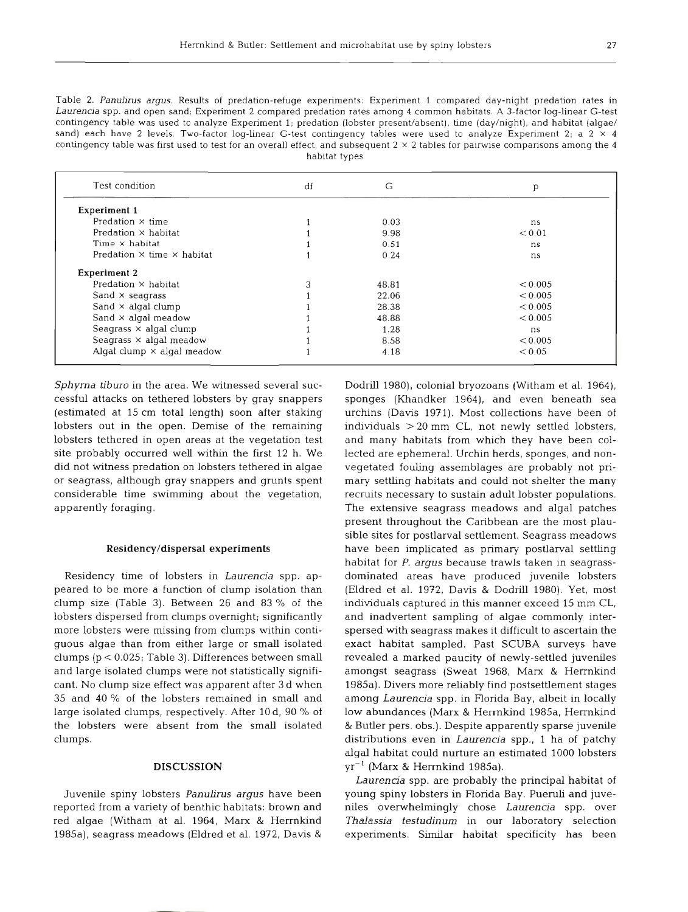27

Table 2. Panulirus argus. Results of predation-refuge experiments: Experiment 1 compared day-night predation rates in Laurencia spp. and open sand; Experiment 2 compared predation rates among 4 common habitats. A 3-factor log-linear G-test contingency table was used to analyze Experiment 1; predation (lobster present/absent), time (day/night), and habitat (algae/ sand) each have 2 levels. Two-factor log-linear G-test contingency tables were used to analyze Experiment 2; a  $2 \times 4$ contingency table was first used to test for an overall effect, and subsequent  $2 \times 2$  tables for pairwise comparisons among the 4 habitat types

| Test condition                           | df | G     | p       |
|------------------------------------------|----|-------|---------|
| <b>Experiment 1</b>                      |    |       |         |
| Predation $\times$ time                  |    | 0.03  | ns      |
| Predation $\times$ habitat               |    | 9.98  | < 0.01  |
| Time $\times$ habitat                    |    | 0.51  | ns      |
| Predation $\times$ time $\times$ habitat |    | 0.24  | ns      |
| <b>Experiment 2</b>                      |    |       |         |
| Predation $\times$ habitat               |    | 48.81 | < 0.005 |
| Sand $\times$ seagrass                   |    | 22.06 | < 0.005 |
| Sand $\times$ algal clump                |    | 28.38 | < 0.005 |
| Sand $\times$ algal meadow               |    | 48.88 | < 0.005 |
| Seagrass $\times$ algal clump            |    | 1.28  | ns      |
| Seagrass $\times$ algal meadow           |    | 8.58  | < 0.005 |
| Algal clump $\times$ algal meadow        |    | 4.18  | < 0.05  |

Sphyrna tiburo in the area. We witnessed several successful attacks on tethered lobsters by gray snappers (estimated at 15 cm total length) soon after staking lobsters out in the open. Demise of the remaining lobsters tethered in open areas at the vegetation test site probably occurred well within the first 12 h. We did not witness predation on lobsters tethered in algae or seagrass, although gray snappers and grunts spent considerable time swimming about the vegetation, apparently foraging.

#### **Residencyldispersal experiments**

Residency time of lobsters in Laurencia spp. appeared to be more a function of clump isolation than clump size (Table 3). Between 26 and 83 % of the lobsters dispersed from clumps overnight; significantly more lobsters were missing from clumps within contiguous algae than from either large or small isolated clumps (p < 0.025; Table 3). Differences between small and large isolated clumps were not statistically significant. No clump size effect was apparent after 3 d when 35 and 40 % of the lobsters remained in small and large isolated clumps, respectively. After 10 d, 90 % of the lobsters were absent from the small isol clumps.

#### **DISCUSS**

Juvenile spiny lobsters Panulirus argus have been reported from a variety of benthic habitats: brown and red algae (Witham at al. 1964, Marx & Herrnkind 1985a), seagrass meadows (Eldred et al. 1972, Davis &

Dodrill 1980), colonial bryozoans (Witham et al. 1964), sponges (Khandker 1964), and even beneath sea urchins (Davis 1971). Most collections have been of individuals > 20 mm CL, not newly settled lobsters, and many habitats from which they have been collected are ephemeral. Urchin herds, sponges, and nonvegetated fouling assemblages are probably not primary settling habitats and could not shelter the many recruits necessary to sustain adult lobster populations. The extensive seagrass meadows and algal patches present throughout the Caribbean are the most plausible sites for postlarval settlement. Seagrass meadows have been implicated as primary postlarval settling habitat for P. argus because trawls taken in seagrassdominated areas have produced juvenile lobsters (Eldred et al. 1972, Davis & Dodnll 1980). Yet, most individuals captured in this manner exceed 15 mm CL, and inadvertent sampling of algae commonly interspersed with seagrass makes it difficult to ascertain the exact habitat sampled. Past SCUBA surveys have revealed a marked paucity of newly-settled juveniles amongst seagrass (Sweat 1968, Marx & Herrnkind 1985a). Divers more reliably find postsettlement stages among Laurencia spp. in Florida Bay, albeit in locally low abundances (Marx & Herrnkind 1985a, Herrnkind & Butler pers. obs.). Despite apparently sparse juvenile distributions even in Laurencia spp., 1 ha of patchy algal habitat could nurture an estimated 1000 lobsters  $yr^{-1}$  (Marx & Herrnkind 1985a).

Laurencia spp. are probably the principal habitat of young spiny lobsters in Florida Bay. Pueruli and juveniles overwhelmingly chose Laurencia spp. over Thalassia testudinum in our laboratory selection experiments. Similar habitat specificity has been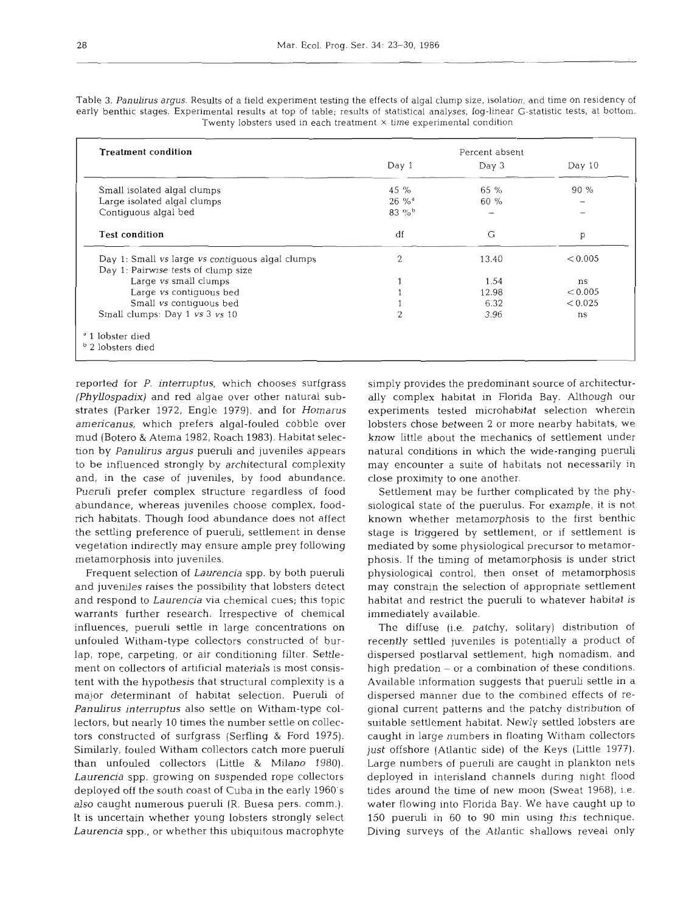Table 3. Panulirus argus. Results of a field experiment testing the effects of algal clump size, isolation, and time on residency of early benthic stages. Experimental results at top of table; results of statistical analyses, log-linear G-statistic tests, at bottom. Twenty lobsters used in each treatment **X** time experimental condition

| <b>Treatment condition</b>                       | Percent absent      |         |         |
|--------------------------------------------------|---------------------|---------|---------|
|                                                  | Day 1               | Day 3   | Day 10  |
| Small isolated algal clumps                      | 45 %                | 65 %    | 90%     |
| Large isolated algal clumps                      | $26\%$ <sup>*</sup> | $60 \%$ |         |
| Contiguous algal bed                             | 83 %b               |         |         |
| <b>Test condition</b>                            | df                  | G       | p       |
| Day 1: Small vs large vs contiguous algal clumps | $\overline{2}$      | 13.40   | < 0.005 |
| Day 1: Pairwise tests of clump size              |                     |         |         |
| Large vs small clumps                            |                     | 1.54    | ns      |
| Large vs contiguous bed                          |                     | 12.98   | < 0.005 |
| Small vs contiquous bed                          |                     | 6.32    | < 0.025 |
| Small clumps: Day 1 vs 3 vs 10                   | $\overline{2}$      | 3.96    | ns      |
| <sup>d</sup> 1 lobster died                      |                     |         |         |
| <sup>b</sup> 2 lobsters died                     |                     |         |         |

reported for *P. interruptus,* which chooses surfgrass *(Phyllospadix)* and red algae over other natural substrates (Parker 1972, Engle 1979), and for *Homarus americanus,* which prefers algal-fouled cobble over mud (Botero & Atema 1982, Roach 1983). Habitat selection by *Panulirus argus* pueruli and juveniles appears to be influenced strongly by architectural complexity and, in the case of juveniles, by food abundance. Pueruli prefer complex structure regardless of food abundance, whereas juveniles choose complex, foodrich habitats. Though food abundance does not affect the settling preference of pueruli, settlement in dense vegetation indirectly may ensure ample prey following metamorphosis into juveniles.

Frequent selection of *Laurencia* spp. by both pueruli and juveniles raises the possibility that lobsters detect and respond to *Laurencia* via chemical cues; this topic warrants further research. Irrespective of chemical influences, pueruli settle in large concentrations on unfouled Witham-type collectors constructed of burlap, rope, carpeting, or air conditioning filter. Settlement on collectors of artificial materials is most consistent with the hypothesis that structural complexity is a major determinant of habitat selection. Pueruh of *Panulirus interruptus* also settle on Witham-type collectors, but nearly 10 times the number settle on collectors constructed of surfgrass (Serfling & Ford 1975). Similarly, fouled Witham collectors catch more pueruli than unfouled collectors (Little & Milano 1980). *Laurencia* spp. growing on suspended rope collectors deployed off the south coast of Cuba in the early 1960's also caught numerous pueruli (R. Buesa pers, comm.). It is uncertain whether young lobsters strongly select *Laurencia* spp., or whether this ubiquitous macrophyte

simply provides the predominant source of architecturally complex habitat in Florida Bay. Although our experiments tested microhabitat selection wherein lobsters chose between **2** or more nearby habitats, we know little about the mechanics of settlement under natural conditions in which the wide-ranging pueruli may encounter a suite of habitats not necessarily in close proximity to one another.

Settlement may be further complicated by the physiological state of the puerulus. For example, it is not known whether metamorphosis to the first benthic stage is triggered by settlement, or if settlement is mediated by some physiological precursor to metamorphosis. If the timing of metamorphosis is under strict physiological control, then onset of metamorphosis may constrain the selection of appropriate settlement habitat and restrict the pueruli to whatever habitat is immediately available.

The diffuse (i.e. patchy, solitary) distribution of recently settled juveniles is potentially a product of dispersed postlarval settlement, high nomadism, and high predation  $-$  or a combination of these conditions. Available information suggests that pueruli settle in a dispersed manner due to the combined effects of regional current patterns and the patchy distribution of suitable settlement habitat. Newly settled lobsters are caught in large numbers in floating Witham collectors just offshore (Atlantic side) of the Keys (Little 1977). Large numbers of pueruh are caught in plankton nets deployed in interisland channels during night flood tides around the time of new moon (Sweat 1968), i.e. water flowing into Florida Bay. We have caught up to 150 pueruli in 60 to 90 min using this technique. Diving surveys of the Atlantic shallows reveal only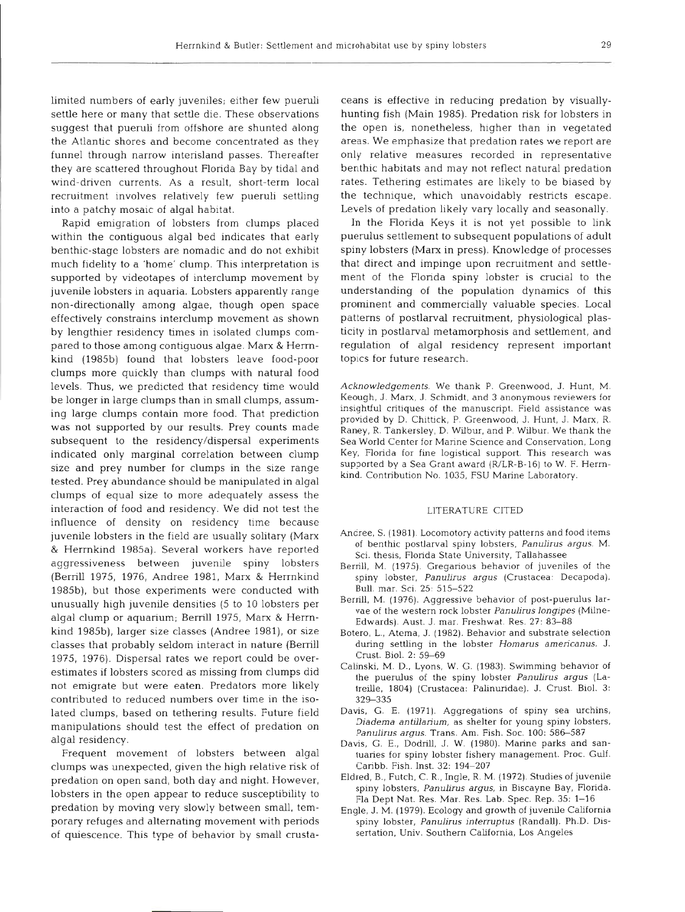limited numbers of early juveniles; either few pueruli settle here or many that settle die. These observations suggest that pueruli from offshore are shunted along the Atlantic shores and become concentrated as they funnel through narrow interisland passes. Thereafter they are scattered throughout Florida Bay by tidal and wind-driven currents. As a result, short-term local recruitment involves relatively few pueruli settling into a patchy mosaic of algal habitat.

Rapid emigration of lobsters from clumps placed within the contiguous algal bed indicates that early benthic-stage lobsters are nomadic and do not exhibit much fidelity to a 'home' clump. This interpretation is supported by videotapes of interclump movement by juvenile lobsters in aquaria. Lobsters apparently range non-directionally among algae, though open space effectively constrains interclump movement as shown by lengthier residency times in isolated clumps compared to those among contiguous algae. Marx & Hemkind (1985b) found that lobsters leave food-poor clumps more quickly than clumps with natural food levels. Thus, we predicted that residency time would be longer in large clumps than in small clumps, assuming large clumps contain more food. That prediction was not supported by our results. Prey counts made subsequent to the residency/dispersal experiments indicated only marginal correlation between clump size and prey number for clumps in the size range tested. Prey abundance should be manipulated in algal clumps of equal size to more adequately assess the interaction of food and residency. We did not test the influence of density on residency time because juvenile lobsters in the field are usually solitary (Marx & Herrnkind 1985a). Several workers have reported aggressiveness between juvenile spiny lobsters (Berrill 1975, 1976, Andree 1981, Marx & Herrnkind 1985b), but those experiments were conducted with unusually high juvenile densities (5 to 10 lobsters per algal clump or aquarium; Berrill 1975, Marx & Herrnkind 1985b), larger size classes (Andree 1981), or size classes that probably seldom interact in nature (Bemll 1975, 1976). Dispersal rates we report could be overestimates if lobsters scored as missing from clumps did not emigrate but were eaten. Predators more likely contributed to reduced numbers over time in the isolated clumps, based on tethering results. Future field manipulations should test the effect of predation on algal residency.

Frequent movement of lobsters between algal clumps was unexpected, given the high relative risk of predation on open sand, both day and night. However, lobsters in the open appear to reduce susceptibility to predation by moving very slowly between small, temporary refuges and alternating movement with periods of quiescence. This type of behavior by small crusta-

cans is effective in reducing predation by visually<br>can is prediction in reducing fish (Main 1985). Predation risk for bobsters in<br>the open is, nonetheless, higher than in vegatace<br>areas. We emphasize that prediction rate

- 
- 
- 
- 
- 
- 
- 
- 
-